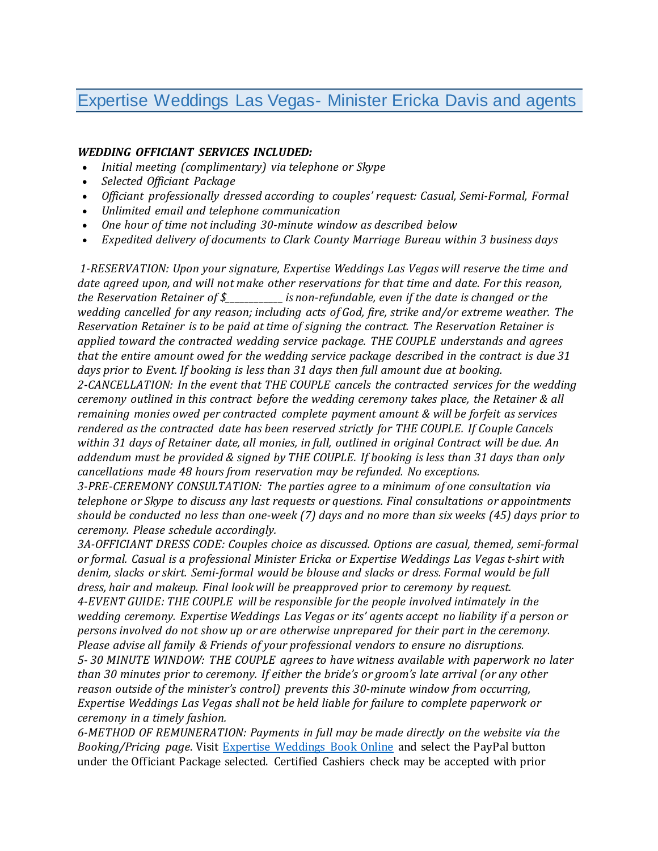## Expertise Weddings Las Vegas- Minister Ericka Davis and agents

## *WEDDING OFFICIANT SERVICES INCLUDED:*

- *Initial meeting (complimentary) via telephone or Skype*
- *Selected Officiant Package*
- *Officiant professionally dressed according to couples' request: Casual, Semi-Formal, Formal*
- *Unlimited email and telephone communication*
- *One hour of time not including 30-minute window as described below*
- *Expedited delivery of documents to Clark County Marriage Bureau within 3 business days*

*1-RESERVATION: Upon your signature, Expertise Weddings Las Vegas will reserve the time and date agreed upon, and will not make other reservations for that time and date. For this reason, the Reservation Retainer of \$\_\_\_\_\_\_\_\_\_\_\_\_is non-refundable, even if the date is changed or the wedding cancelled for any reason; including acts of God, fire, strike and/or extreme weather. The Reservation Retainer is to be paid at time of signing the contract. The Reservation Retainer is applied toward the contracted wedding service package. THE COUPLE understands and agrees that the entire amount owed for the wedding service package described in the contract is due 31 days prior to Event. If booking is less than 31 days then full amount due at booking. 2-CANCELLATION: In the event that THE COUPLE cancels the contracted services for the wedding ceremony outlined in this contract before the wedding ceremony takes place, the Retainer & all remaining monies owed per contracted complete payment amount & will be forfeit as services rendered as the contracted date has been reserved strictly for THE COUPLE. If Couple Cancels* within 31 days of Retainer date, all monies, in full, outlined in original Contract will be due. An *addendum must be provided & signed by THE COUPLE. If booking is less than 31 days than only cancellations made 48 hours from reservation may be refunded. No exceptions.*

*3-PRE-CEREMONY CONSULTATION: The parties agree to a minimum of one consultation via telephone or Skype to discuss any last requests or questions. Final consultations or appointments* should be conducted no less than one-week (7) days and no more than six weeks (45) days prior to *ceremony. Please schedule accordingly.*

*3A-OFFICIANT DRESS CODE: Couples choice as discussed. Options are casual, themed, semi-formal or formal. Casual is a professional Minister Ericka or Expertise Weddings Las Vegas t-shirt with denim, slacks or skirt. Semi-formal would be blouse and slacks or dress. Formal would be full dress, hair and makeup. Final look will be preapproved prior to ceremony by request. 4-EVENT GUIDE: THE COUPLE will be responsible for the people involved intimately in the wedding ceremony. Expertise Weddings Las Vegas or its' agents accept no liability if a person or persons involved do not show up or are otherwise unprepared for their part in the ceremony. Please advise all family & Friends of your professional vendors to ensure no disruptions. 5- 30 MINUTE WINDOW: THE COUPLE agrees to have witness available with paperwork no later than 30 minutes prior to ceremony. If either the bride's or groom's late arrival (or any other reason outside of the minister's control) prevents this 30-minute window from occurring, Expertise Weddings Las Vegas shall not be held liable for failure to complete paperwork or ceremony in a timely fashion.*

*6-METHOD OF REMUNERATION: Payments in full may be made directly on the website via the Booking/Pricing page*. Visit [Expertise Weddings Book Online](https://www.expertiseserviceslv.com/bookonline) and select the PayPal button under the Officiant Package selected. Certified Cashiers check may be accepted with prior